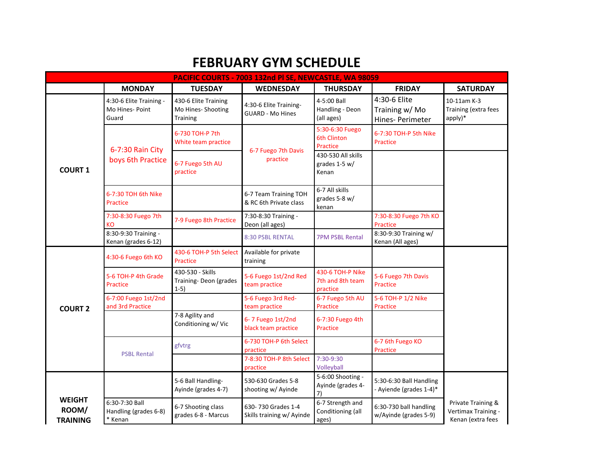## **FEBRUARY GYM SCHEDULE**

| PACIFIC COURTS - 7003 132nd PI SE, NEWCASTLE, WA 98059 |                                                     |                                                               |                                                   |                                                   |                                                    |                                                                |  |
|--------------------------------------------------------|-----------------------------------------------------|---------------------------------------------------------------|---------------------------------------------------|---------------------------------------------------|----------------------------------------------------|----------------------------------------------------------------|--|
|                                                        | <b>MONDAY</b>                                       | <b>TUESDAY</b>                                                | <b>WEDNESDAY</b>                                  | <b>THURSDAY</b>                                   | <b>FRIDAY</b>                                      | <b>SATURDAY</b>                                                |  |
| <b>COURT 1</b>                                         | 4:30-6 Elite Training -<br>Mo Hines- Point<br>Guard | 430-6 Elite Training<br>Mo Hines- Shooting<br><b>Training</b> | 4:30-6 Elite Training-<br><b>GUARD - Mo Hines</b> | 4-5:00 Ball<br>Handling - Deon<br>(all ages)      | 4:30-6 Elite<br>Training w/ Mo<br>Hines- Perimeter | 10-11am K-3<br>Training (extra fees<br>apply)*                 |  |
|                                                        | 6-7:30 Rain City<br>boys 6th Practice               | 6-730 TOH-P 7th<br>White team practice                        | 6-7 Fuego 7th Davis<br>practice                   | 5:30-6:30 Fuego<br><b>6th Clinton</b><br>Practice | 6-7:30 TOH-P 5th Nike<br>Practice                  |                                                                |  |
|                                                        |                                                     | 6-7 Fuego 5th AU<br>practice                                  |                                                   | 430-530 All skills<br>grades $1-5 w/$<br>Kenan    |                                                    |                                                                |  |
|                                                        | 6-7:30 TOH 6th Nike<br>Practice                     |                                                               | 6-7 Team Training TOH<br>& RC 6th Private class   | 6-7 All skills<br>grades 5-8 w/<br>kenan          |                                                    |                                                                |  |
|                                                        | 7:30-8:30 Fuego 7th<br>KO                           | 7-9 Fuego 8th Practice                                        | 7:30-8:30 Training -<br>Deon (all ages)           |                                                   | 7:30-8:30 Fuego 7th KO<br>Practice                 |                                                                |  |
|                                                        | 8:30-9:30 Training -<br>Kenan (grades 6-12)         |                                                               | 8:30 PSBL RENTAL                                  | <b>7PM PSBL Rental</b>                            | 8:30-9:30 Training w/<br>Kenan (All ages)          |                                                                |  |
|                                                        | 4:30-6 Fuego 6th KO                                 | 430-6 TOH-P 5th Select<br>Practice                            | Available for private<br>training                 |                                                   |                                                    |                                                                |  |
| <b>COURT 2</b>                                         | 5-6 TOH-P 4th Grade<br>Practice                     | 430-530 - Skills<br>Training-Deon (grades<br>$1-5)$           | 5-6 Fuego 1st/2nd Red<br>team practice            | 430-6 TOH-P Nike<br>7th and 8th team<br>practice  | 5-6 Fuego 7th Davis<br>Practice                    |                                                                |  |
|                                                        | 6-7:00 Fuego 1st/2nd<br>and 3rd Practice            |                                                               | 5-6 Fuego 3rd Red-<br>team practice               | 6-7 Fuego 5th AU<br>Practice                      | 5-6 TOH-P 1/2 Nike<br>Practice                     |                                                                |  |
|                                                        |                                                     | 7-8 Agility and<br>Conditioning w/ Vic                        | 6-7 Fuego 1st/2nd<br>black team practice          | 6-7:30 Fuego 4th<br>Practice                      |                                                    |                                                                |  |
|                                                        | <b>PSBL Rental</b>                                  | gfvtrg                                                        | 6-730 TOH-P 6th Select<br>practice                |                                                   | 6-7 6th Fuego KO<br>Practice                       |                                                                |  |
|                                                        |                                                     |                                                               | 7-8:30 TOH-P 8th Select<br>practice               | 7:30-9:30<br>Volleyball                           |                                                    |                                                                |  |
|                                                        |                                                     | 5-6 Ball Handling-<br>Ayinde (grades 4-7)                     | 530-630 Grades 5-8<br>shooting w/ Ayinde          | 5-6:00 Shooting -<br>Ayinde (grades 4-<br>7)      | 5:30-6:30 Ball Handling<br>- Ayiende (grades 1-4)* |                                                                |  |
| <b>WEIGHT</b><br>ROOM/<br><b>TRAINING</b>              | 6:30-7:30 Ball<br>Handling (grades 6-8)<br>Kenan    | 6-7 Shooting class<br>grades 6-8 - Marcus                     | 630-730 Grades 1-4<br>Skills training w/ Ayinde   | 6-7 Strength and<br>Conditioning (all<br>ages)    | 6:30-730 ball handling<br>w/Ayinde (grades 5-9)    | Private Training &<br>Vertimax Training -<br>Kenan (extra fees |  |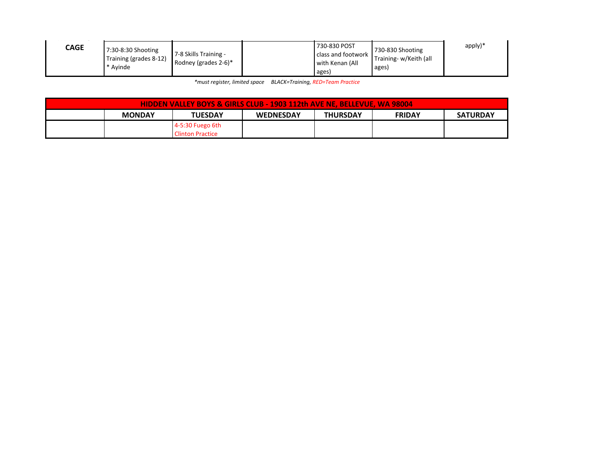| <b>CAGE</b> | 7:30-8:30 Shooting<br>Training (grades 8-12)<br>Avinde | 7-8 Skills Training -<br>Rodney (grades $2-6$ )* | 730-830 POST<br>class and footwork<br>with Kenan (All<br>ages) | 730-830 Shooting<br>Training-w/Keith (all<br>ages) | apply)* |
|-------------|--------------------------------------------------------|--------------------------------------------------|----------------------------------------------------------------|----------------------------------------------------|---------|

*\*must register, limited space BLACK=Training, RED=Team Practice*

| <b>HIDDEN VALLEY BOYS &amp; GIRLS CLUB - 1903 112th AVE NE. BELLEVUE, WA 98004</b> |               |                    |                  |                 |               |                 |
|------------------------------------------------------------------------------------|---------------|--------------------|------------------|-----------------|---------------|-----------------|
|                                                                                    | <b>MONDAY</b> | <b>TUESDAY</b>     | <b>WEDNESDAY</b> | <b>THURSDAY</b> | <b>FRIDAY</b> | <b>SATURDAY</b> |
|                                                                                    |               | 4-5:30 Fuego 6th   |                  |                 |               |                 |
|                                                                                    |               | l Clinton Practice |                  |                 |               |                 |